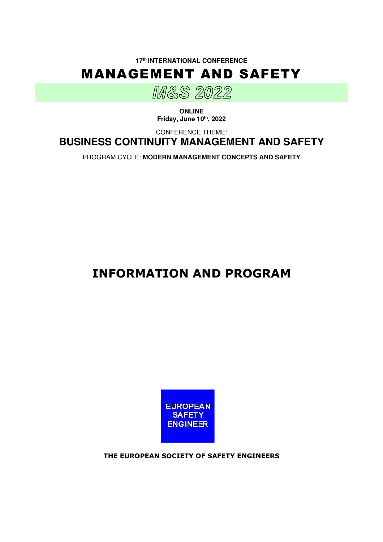**17th INTERNATIONAL CONFERENCE** 





**ONLINE Friday, June 10th, 2022** 

CONFERENCE THEME:

**BUSINESS CONTINUITY MANAGEMENT AND SAFETY** 

PROGRAM CYCLE: **MODERN MANAGEMENT CONCEPTS AND SAFETY**

# **INFORMATION AND PROGRAM**



**THE EUROPEAN SOCIETY OF SAFETY ENGINEERS**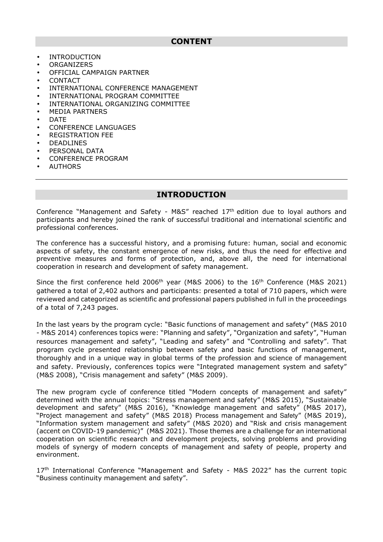- INTRODUCTION
- **ORGANIZERS**
- OFFICIAL CAMPAIGN PARTNER
- **CONTACT**
- INTERNATIONAL CONFERENCE MANAGEMENT
- INTERNATIONAL PROGRAM COMMITTEE
- INTERNATIONAL ORGANIZING COMMITTEE
- MEDIA PARTNERS
- DATE
- CONFERENCE LANGUAGES
- REGISTRATION FEE
- DEADLINES
- PERSONAL DATA
- CONFERENCE PROGRAM
- **AUTHORS**

# **INTRODUCTION**

Conference "Management and Safety -  $M\&S''$  reached  $17<sup>th</sup>$  edition due to loyal authors and participants and hereby joined the rank of successful traditional and international scientific and professional conferences.

The conference has a successful history, and a promising future: human, social and economic aspects of safety, the constant emergence of new risks, and thus the need for effective and preventive measures and forms of protection, and, above all, the need for international cooperation in research and development of safety management.

Since the first conference held 2006<sup>th</sup> year (M&S 2006) to the 16<sup>th</sup> Conference (M&S 2021) gathered a total of 2,402 authors and participants: presented a total of 710 papers, which were reviewed and categorized as scientific and professional papers published in full in the proceedings of a total of 7,243 pages.

In the last years by the program cycle: "Basic functions of management and safety" (M&S 2010 - M&S 2014) conferences topics were: "Planning and safety", "Organization and safety", "Human resources management and safety", "Leading and safety" and "Controlling and safety". That program cycle presented relationship between safety and basic functions of management, thoroughly and in a unique way in global terms of the profession and science of management and safety. Previously, conferences topics were "Integrated management system and safety" (M&S 2008), "Crisis management and safety" (M&S 2009).

The new program cycle of conference titled "Modern concepts of management and safety" determined with the annual topics: "Stress management and safety" (M&S 2015), "Sustainable development and safety" (M&S 2016), "Knowledge management and safety" (M&S 2017), "Project management and safety" (M&S 2018) Process management and Safety" (M&S 2019), "Information system management and safety" (M&S 2020) and "Risk and crisis management (accent on COVID-19 pandemic)" (M&S 2021). Those themes are a challenge for an international cooperation on scientific research and development projects, solving problems and providing models of synergy of modern concepts of management and safety of people, property and environment.

17<sup>th</sup> International Conference "Management and Safety - M&S 2022" has the current topic "Business continuity management and safety".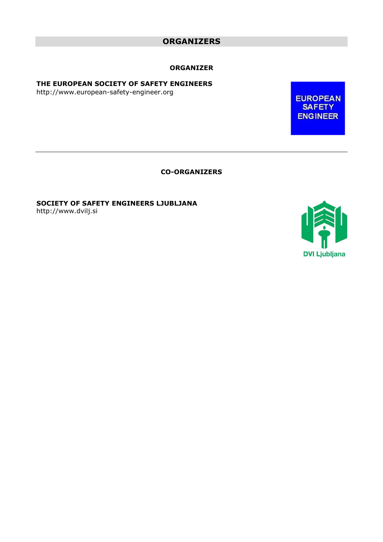# **ORGANIZERS**

#### **ORGANIZER**

#### **THE EUROPEAN SOCIETY OF SAFETY ENGINEERS**

http://www.european-safety-engineer.org

**EUROPEAN SAFETY ENGINEER** 

**CO-ORGANIZERS** 

**SOCIETY OF SAFETY ENGINEERS LJUBLJANA**  http://www.dvilj.si

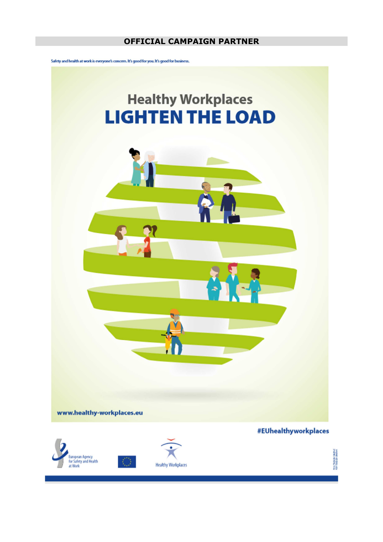# **OFFICIAL CAMPAIGN PARTNER**

Safety and health at work is everyone's concern. It's good for you. It's good for business.

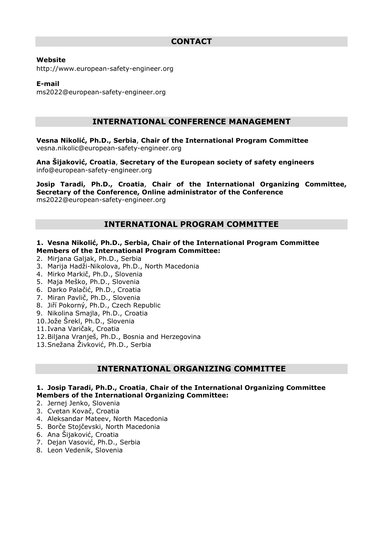#### **Website**

http://www.european-safety-engineer.org

#### **E-mail**

ms2022@european-safety-engineer.org

# **INTERNATIONAL CONFERENCE MANAGEMENT**

**Vesna Nikolić, Ph.D., Serbia**, **Chair of the International Program Committee**  vesna.nikolic@european-safety-engineer.org

**Ana Šijaković, Croatia**, **Secretary of the European society of safety engineers**  info@european-safety-engineer.org

**Josip Taradi, Ph.D., Croatia**, **Chair of the International Organizing Committee, Secretary of the Conference, Online administrator of the Conference**  ms2022@european-safety-engineer.org

# **INTERNATIONAL PROGRAM COMMITTEE**

#### **1. Vesna Nikolić, Ph.D., Serbia, Chair of the International Program Committee Members of the International Program Committee:**

- 2. Mirjana Galjak, Ph.D., Serbia
- 3. Marija Hadži-Nikolova, Ph.D., North Macedonia
- 4. Mirko Markič, Ph.D., Slovenia
- 5. Maja Meško, Ph.D., Slovenia
- 6. Darko Palačić, Ph.D., Croatia
- 7. Miran Pavlič, Ph.D., Slovenia
- 8. Jiří Pokorný, Ph.D., Czech Republic
- 9. Nikolina Smajla, Ph.D., Croatia
- 10.Jože Šrekl, Ph.D., Slovenia
- 11.Ivana Varičak, Croatia
- 12.Biljana Vranješ, Ph.D., Bosnia and Herzegovina
- 13.Snežana Živković, Ph.D., Serbia

# **INTERNATIONAL ORGANIZING COMMITTEE**

#### **1. Josip Taradi, Ph.D., Croatia**, **Chair of the International Organizing Committee Members of the International Organizing Committee:**

- 2. Jernej Jenko, Slovenia
- 3. Cvetan Kovač, Croatia
- 4. Aleksandar Mateev, North Macedonia
- 5. Borče Stojčevski, North Macedonia
- 6. Ana Šijaković, Croatia
- 7. Dejan Vasović, Ph.D., Serbia
- 8. Leon Vedenik, Slovenia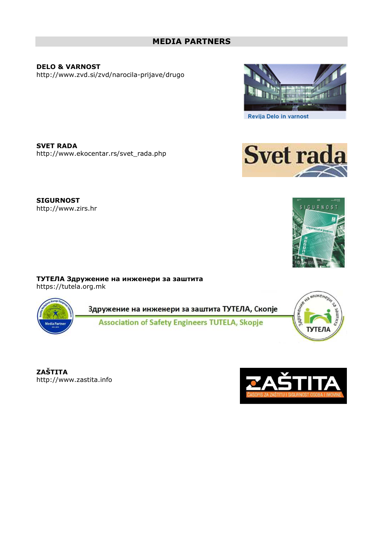# **MEDIA PARTNERS**

**DELO & VARNOST**  http://www.zvd.si/zvd/narocila-prijave/drugo

**SVET RADA**  http://www.ekocentar.rs/svet\_rada.php

**ТУТЕЛА Здружение на инженери за заштита**

**SIGURNOST**  http://www.zirs.hr

https://tutela.org.mk

Здружение на инженери за заштита ТУТЕЛА, Скопје

**ZAŠTITA**  http://www.zastita.info





SIGURNOS<sup>-</sup>





**Svet rada**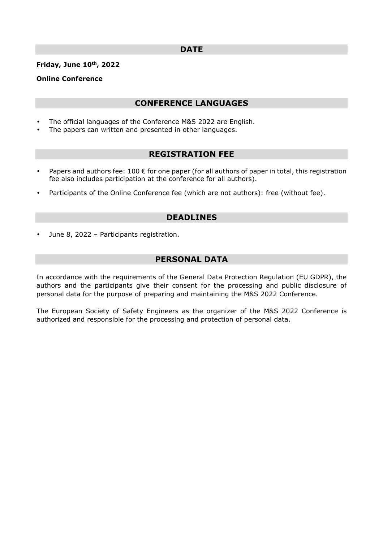#### **DATE**

#### **Friday, June 10th, 2022**

#### **Online Conference**

## **CONFERENCE LANGUAGES**

- The official languages of the Conference M&S 2022 are English.
- The papers can written and presented in other languages.

## **REGISTRATION FEE**

- Papers and authors fee: 100  $\epsilon$  for one paper (for all authors of paper in total, this registration fee also includes participation at the conference for all authors).
- Participants of the Online Conference fee (which are not authors): free (without fee).

## **DEADLINES**

• June 8, 2022 – Participants registration.

## **PERSONAL DATA**

In accordance with the requirements of the General Data Protection Regulation (EU GDPR), the authors and the participants give their consent for the processing and public disclosure of personal data for the purpose of preparing and maintaining the M&S 2022 Conference.

The European Society of Safety Engineers as the organizer of the M&S 2022 Conference is authorized and responsible for the processing and protection of personal data.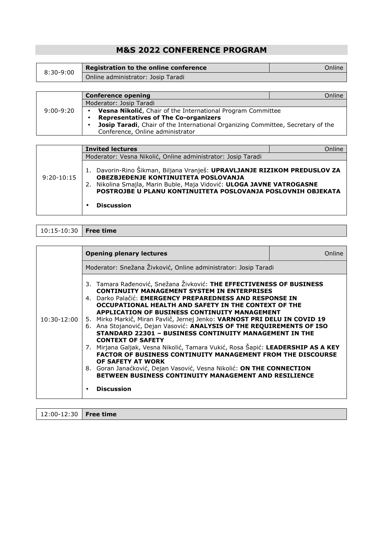# **M&S 2022 CONFERENCE PROGRAM**

| $8:30-9:00$ | Registration to the online conference | Online I |
|-------------|---------------------------------------|----------|
|             | Online administrator: Josip Taradi    |          |

|               | <b>Conference opening</b>                                                       | Online |
|---------------|---------------------------------------------------------------------------------|--------|
|               | Moderator: Josip Taradi                                                         |        |
| $9:00 - 9:20$ | Vesna Nikolić, Chair of the International Program Committee                     |        |
|               | <b>Representatives of The Co-organizers</b>                                     |        |
|               | Josip Taradi, Chair of the International Organizing Committee, Secretary of the |        |
|               | Conference, Online administrator                                                |        |

| $9:20-10:15$ | <b>Invited lectures</b>                                                                                       | Online                                                                                                                                    |
|--------------|---------------------------------------------------------------------------------------------------------------|-------------------------------------------------------------------------------------------------------------------------------------------|
|              | Moderator: Vesna Nikolić, Online administrator: Josip Taradi                                                  |                                                                                                                                           |
|              | OBEZBJEĐENJE KONTINUITETA POSLOVANJA<br>2. Nikolina Smajla, Marin Buble, Maja Vidović: ULOGA JAVNE VATROGASNE | 1. Davorin-Rino Šikman, Biljana Vranješ: UPRAVLJANJE RIZIKOM PREDUSLOV ZA<br>POSTROJBE U PLANU KONTINUITETA POSLOVANJA POSLOVNIH OBJEKATA |
|              | <b>Discussion</b>                                                                                             |                                                                                                                                           |
|              |                                                                                                               |                                                                                                                                           |

| $10:15 - 10:30$   Free time |  |
|-----------------------------|--|
|-----------------------------|--|

|               | <b>Opening plenary lectures</b>                                                                                                                                                                                                                                                                                                                                                                                                                                                                                                                                                                                                                                                                                                                                                                                                                                                                             | Online |
|---------------|-------------------------------------------------------------------------------------------------------------------------------------------------------------------------------------------------------------------------------------------------------------------------------------------------------------------------------------------------------------------------------------------------------------------------------------------------------------------------------------------------------------------------------------------------------------------------------------------------------------------------------------------------------------------------------------------------------------------------------------------------------------------------------------------------------------------------------------------------------------------------------------------------------------|--------|
|               | Moderator: Snežana Živković, Online administrator: Josip Taradi                                                                                                                                                                                                                                                                                                                                                                                                                                                                                                                                                                                                                                                                                                                                                                                                                                             |        |
| $10:30-12:00$ | 3. Tamara Rađenović, Snežana Živković: THE EFFECTIVENESS OF BUSINESS<br><b>CONTINUITY MANAGEMENT SYSTEM IN ENTERPRISES</b><br>4. Darko Palačić: <b>EMERGENCY PREPAREDNESS AND RESPONSE IN</b><br>OCCUPATIONAL HEALTH AND SAFETY IN THE CONTEXT OF THE<br><b>APPLICATION OF BUSINESS CONTINUITY MANAGEMENT</b><br>5. Mirko Markič, Miran Pavlič, Jernej Jenko: VARNOST PRI DELU IN COVID 19<br>6. Ana Stojanović, Dejan Vasović: ANALYSIS OF THE REQUIREMENTS OF ISO<br><b>STANDARD 22301 - BUSINESS CONTINUITY MANAGEMENT IN THE</b><br><b>CONTEXT OF SAFETY</b><br>7. Mirjana Galjak, Vesna Nikolić, Tamara Vukić, Rosa Šapić: LEADERSHIP AS A KEY<br><b>FACTOR OF BUSINESS CONTINUITY MANAGEMENT FROM THE DISCOURSE</b><br>OF SAFETY AT WORK<br>8. Goran Janaćković, Dejan Vasović, Vesna Nikolić: ON THE CONNECTION<br><b>BETWEEN BUSINESS CONTINUITY MANAGEMENT AND RESILIENCE</b><br><b>Discussion</b> |        |

12:00-12:30 **Free time**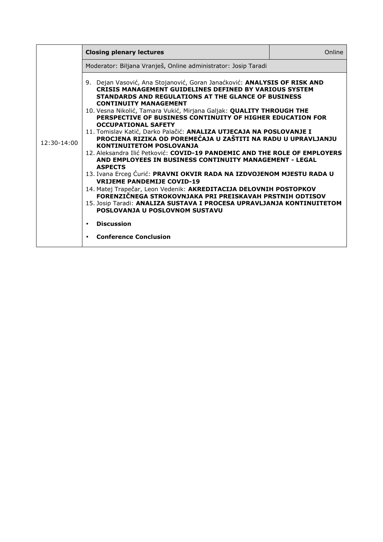|               | <b>Closing plenary lectures</b>                                                                                                                                                                                                                                                                                                                                                                                                                                                                                                                                                                                                                                                                                                                                                                                                                                                                                                                                                                                                                                                                                         | Online |
|---------------|-------------------------------------------------------------------------------------------------------------------------------------------------------------------------------------------------------------------------------------------------------------------------------------------------------------------------------------------------------------------------------------------------------------------------------------------------------------------------------------------------------------------------------------------------------------------------------------------------------------------------------------------------------------------------------------------------------------------------------------------------------------------------------------------------------------------------------------------------------------------------------------------------------------------------------------------------------------------------------------------------------------------------------------------------------------------------------------------------------------------------|--------|
|               | Moderator: Biljana Vranješ, Online administrator: Josip Taradi                                                                                                                                                                                                                                                                                                                                                                                                                                                                                                                                                                                                                                                                                                                                                                                                                                                                                                                                                                                                                                                          |        |
| $12:30-14:00$ | 9. Dejan Vasović, Ana Stojanović, Goran Janaćković: ANALYSIS OF RISK AND<br><b>CRISIS MANAGEMENT GUIDELINES DEFINED BY VARIOUS SYSTEM</b><br>STANDARDS AND REGULATIONS AT THE GLANCE OF BUSINESS<br><b>CONTINUITY MANAGEMENT</b><br>10. Vesna Nikolić, Tamara Vukić, Mirjana Galjak: QUALITY THROUGH THE<br>PERSPECTIVE OF BUSINESS CONTINUITY OF HIGHER EDUCATION FOR<br><b>OCCUPATIONAL SAFETY</b><br>11. Tomislav Katić, Darko Palačić: ANALIZA UTJECAJA NA POSLOVANJE I<br>PROCJENA RIZIKA OD POREMEĆAJA U ZAŠTITI NA RADU U UPRAVLJANJU<br><b>KONTINUITETOM POSLOVANJA</b><br>12. Aleksandra Ilić Petković: COVID-19 PANDEMIC AND THE ROLE OF EMPLOYERS<br>AND EMPLOYEES IN BUSINESS CONTINUITY MANAGEMENT - LEGAL<br><b>ASPECTS</b><br>13. Ivana Erceg Ćurić: PRAVNI OKVIR RADA NA IZDVOJENOM MJESTU RADA U<br><b>VRIJEME PANDEMIJE COVID-19</b><br>14. Matej Trapečar, Leon Vedenik: AKREDITACIJA DELOVNIH POSTOPKOV<br>FORENZIČNEGA STROKOVNJAKA PRI PREISKAVAH PRSTNIH ODTISOV<br>15. Josip Taradi: ANALIZA SUSTAVA I PROCESA UPRAVLJANJA KONTINUITETOM<br>POSLOVANJA U POSLOVNOM SUSTAVU<br><b>Discussion</b> |        |
|               | <b>Conference Conclusion</b>                                                                                                                                                                                                                                                                                                                                                                                                                                                                                                                                                                                                                                                                                                                                                                                                                                                                                                                                                                                                                                                                                            |        |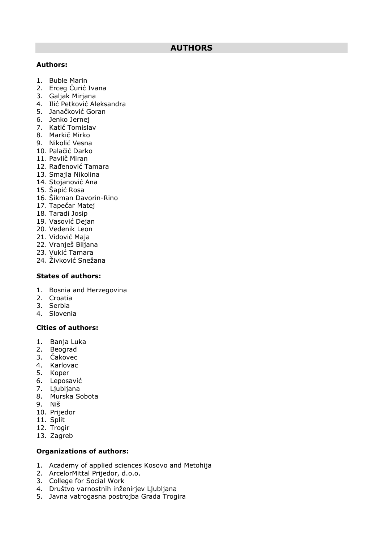# **AUTHORS**

#### **Authors:**

- 1. Buble Marin
- 2. Erceg Ćurić Ivana
- 3. Galjak Mirjana
- 4. Ilić Petković Aleksandra
- 5. Janačković Goran
- 6. Jenko Jernej
- 7. Katić Tomislav
- 8. Markič Mirko
- 9. Nikolić Vesna
- 10. Palačić Darko
- 11. Pavlič Miran
- 12. Rađenović Tamara
- 13. Smajla Nikolina
- 14. Stojanović Ana
- 15. Šapić Rosa
- 16. Šikman Davorin-Rino
- 17. Tapečar Matej
- 18. Taradi Josip
- 19. Vasović Dejan
- 20. Vedenik Leon
- 21. Vidović Maja
- 22. Vranješ Biljana
- 23. Vukić Tamara
- 24. Živković Snežana

#### **States of authors:**

- 1. Bosnia and Herzegovina
- 2. Croatia
- 3. Serbia
- 4. Slovenia

# **Cities of authors:**

- 1. Banja Luka
- 2. Beograd
- 3. Čakovec
- 4. Karlovac
- 5. Koper
- 6. Leposavić
- 7. Ljubljana
- 8. Murska Sobota
- 9. Niš
- 10. Prijedor
- 11. Split
- 12. Trogir
- 13. Zagreb

#### **Organizations of authors:**

- 1. Academy of applied sciences Kosovo and Metohija
- 2. ArcelorMittal Prijedor, d.o.o.
- 3. College for Social Work
- 4. Društvo varnostnih inženirjev Ljubljana
- 5. Javna vatrogasna postrojba Grada Trogira